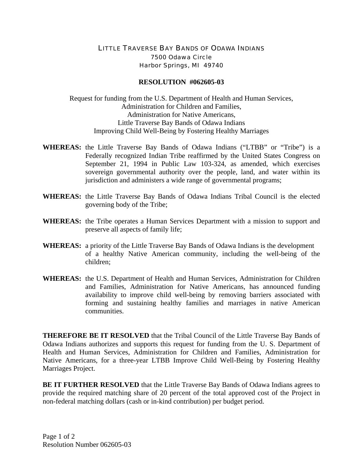## LITTLE TRAVERSE BAY BANDS OF ODAWA INDIANS 7500 Odawa Circle Harbor Springs, MI 49740

## **RESOLUTION #062605-03**

Request for funding from the U.S. Department of Health and Human Services, Administration for Children and Families, Administration for Native Americans, Little Traverse Bay Bands of Odawa Indians Improving Child Well-Being by Fostering Healthy Marriages

- **WHEREAS:** the Little Traverse Bay Bands of Odawa Indians ("LTBB" or "Tribe") is a Federally recognized Indian Tribe reaffirmed by the United States Congress on September 21, 1994 in Public Law 103-324, as amended, which exercises sovereign governmental authority over the people, land, and water within its jurisdiction and administers a wide range of governmental programs;
- **WHEREAS:** the Little Traverse Bay Bands of Odawa Indians Tribal Council is the elected governing body of the Tribe;
- **WHEREAS:** the Tribe operates a Human Services Department with a mission to support and preserve all aspects of family life;
- **WHEREAS:** a priority of the Little Traverse Bay Bands of Odawa Indians is the development of a healthy Native American community, including the well-being of the children;
- **WHEREAS:** the U.S. Department of Health and Human Services, Administration for Children and Families, Administration for Native Americans, has announced funding availability to improve child well-being by removing barriers associated with forming and sustaining healthy families and marriages in native American communities.

**THEREFORE BE IT RESOLVED** that the Tribal Council of the Little Traverse Bay Bands of Odawa Indians authorizes and supports this request for funding from the U. S. Department of Health and Human Services, Administration for Children and Families, Administration for Native Americans, for a three-year LTBB Improve Child Well-Being by Fostering Healthy Marriages Project.

**BE IT FURTHER RESOLVED** that the Little Traverse Bay Bands of Odawa Indians agrees to provide the required matching share of 20 percent of the total approved cost of the Project in non-federal matching dollars (cash or in-kind contribution) per budget period.